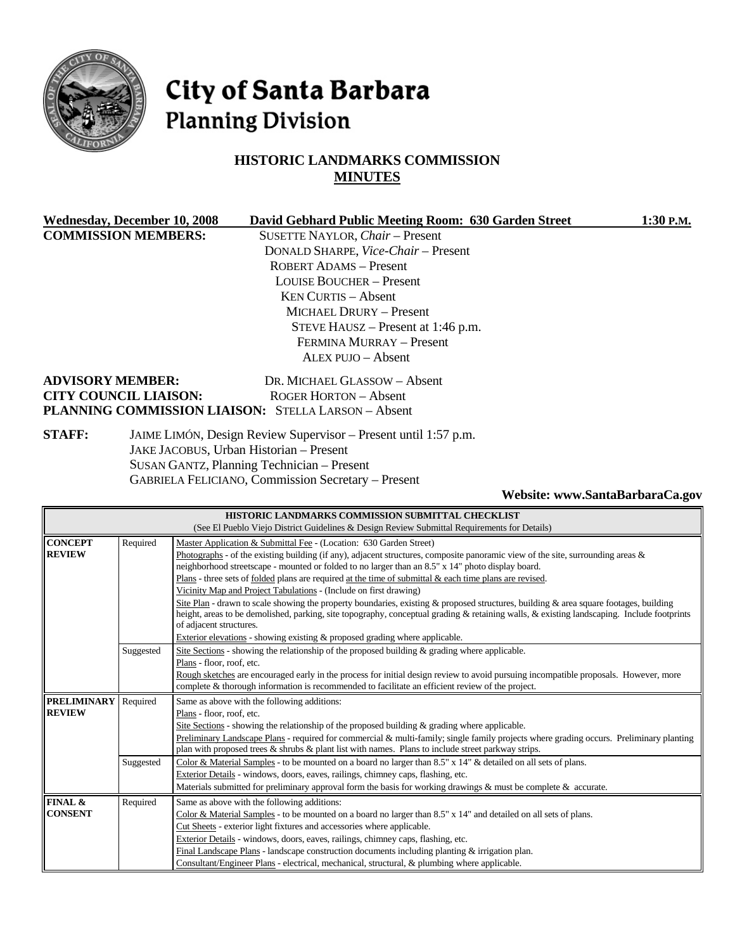

# City of Santa Barbara **Planning Division**

# **HISTORIC LANDMARKS COMMISSION MINUTES**

| <b>Wednesday, December 10, 2008</b>                                              |                              | David Gebhard Public Meeting Room: 630 Garden Street      | 1:30 P.M. |
|----------------------------------------------------------------------------------|------------------------------|-----------------------------------------------------------|-----------|
| <b>COMMISSION MEMBERS:</b>                                                       |                              | SUSETTE NAYLOR, Chair - Present                           |           |
|                                                                                  |                              | DONALD SHARPE, Vice-Chair - Present                       |           |
|                                                                                  |                              | ROBERT ADAMS - Present                                    |           |
|                                                                                  |                              | LOUISE BOUCHER – Present                                  |           |
|                                                                                  |                              | <b>KEN CURTIS – Absent</b>                                |           |
|                                                                                  |                              | <b>MICHAEL DRURY – Present</b>                            |           |
|                                                                                  |                              | STEVE HAUSZ $-$ Present at 1:46 p.m.                      |           |
|                                                                                  |                              | FERMINA MURRAY - Present                                  |           |
|                                                                                  |                              | ALEX PUJO – Absent                                        |           |
|                                                                                  | <b>ADVISORY MEMBER:</b>      | DR. MICHAEL GLASSOW - Absent                              |           |
|                                                                                  | <b>CITY COUNCIL LIAISON:</b> | <b>ROGER HORTON - Absent</b>                              |           |
|                                                                                  |                              | PLANNING COMMISSION LIAISON: STELLA LARSON - Absent       |           |
| <b>STAFF:</b><br>JAIME LIMÓN, Design Review Supervisor - Present until 1:57 p.m. |                              |                                                           |           |
|                                                                                  |                              | JAKE JACOBUS, Urban Historian - Present                   |           |
|                                                                                  |                              | SUSAN GANTZ, Planning Technician - Present                |           |
|                                                                                  |                              | <b>GABRIELA FELICIANO, Commission Secretary – Present</b> |           |

#### **Website: www.SantaBarbaraCa.gov**

|                    |           | HISTORIC LANDMARKS COMMISSION SUBMITTAL CHECKLIST                                                                                          |  |  |
|--------------------|-----------|--------------------------------------------------------------------------------------------------------------------------------------------|--|--|
|                    |           | (See El Pueblo Viejo District Guidelines & Design Review Submittal Requirements for Details)                                               |  |  |
| <b>CONCEPT</b>     | Required  | Master Application & Submittal Fee - (Location: 630 Garden Street)                                                                         |  |  |
| <b>REVIEW</b>      |           | Photographs - of the existing building (if any), adjacent structures, composite panoramic view of the site, surrounding areas $\&$         |  |  |
|                    |           | neighborhood streetscape - mounted or folded to no larger than an 8.5" x 14" photo display board.                                          |  |  |
|                    |           | Plans - three sets of <u>folded</u> plans are required at the time of submittal $\&$ each time plans are revised.                          |  |  |
|                    |           | Vicinity Map and Project Tabulations - (Include on first drawing)                                                                          |  |  |
|                    |           | Site Plan - drawn to scale showing the property boundaries, existing & proposed structures, building & area square footages, building      |  |  |
|                    |           | height, areas to be demolished, parking, site topography, conceptual grading & retaining walls, & existing landscaping. Include footprints |  |  |
|                    |           | of adjacent structures.                                                                                                                    |  |  |
|                    |           | Exterior elevations - showing existing $\&$ proposed grading where applicable.                                                             |  |  |
|                    | Suggested | Site Sections - showing the relationship of the proposed building $\&$ grading where applicable.                                           |  |  |
|                    |           | Plans - floor, roof, etc.                                                                                                                  |  |  |
|                    |           | Rough sketches are encouraged early in the process for initial design review to avoid pursuing incompatible proposals. However, more       |  |  |
|                    |           | complete & thorough information is recommended to facilitate an efficient review of the project.                                           |  |  |
| <b>PRELIMINARY</b> | Required  | Same as above with the following additions:                                                                                                |  |  |
| <b>REVIEW</b>      |           | Plans - floor, roof, etc.                                                                                                                  |  |  |
|                    |           | Site Sections - showing the relationship of the proposed building & grading where applicable.                                              |  |  |
|                    |           | Preliminary Landscape Plans - required for commercial & multi-family; single family projects where grading occurs. Preliminary planting    |  |  |
|                    |           | plan with proposed trees $\&$ shrubs $\&$ plant list with names. Plans to include street parkway strips.                                   |  |  |
|                    | Suggested | Color & Material Samples - to be mounted on a board no larger than $8.5"$ x $14"$ & detailed on all sets of plans.                         |  |  |
|                    |           | Exterior Details - windows, doors, eaves, railings, chimney caps, flashing, etc.                                                           |  |  |
|                    |           | Materials submitted for preliminary approval form the basis for working drawings & must be complete $\&$ accurate.                         |  |  |
| FINAL &            | Required  | Same as above with the following additions:                                                                                                |  |  |
| <b>CONSENT</b>     |           | Color & Material Samples - to be mounted on a board no larger than 8.5" x 14" and detailed on all sets of plans.                           |  |  |
|                    |           | Cut Sheets - exterior light fixtures and accessories where applicable.                                                                     |  |  |
|                    |           | Exterior Details - windows, doors, eaves, railings, chimney caps, flashing, etc.                                                           |  |  |
|                    |           | Final Landscape Plans - landscape construction documents including planting $\&$ irrigation plan.                                          |  |  |
|                    |           | Consultant/Engineer Plans - electrical, mechanical, structural, & plumbing where applicable.                                               |  |  |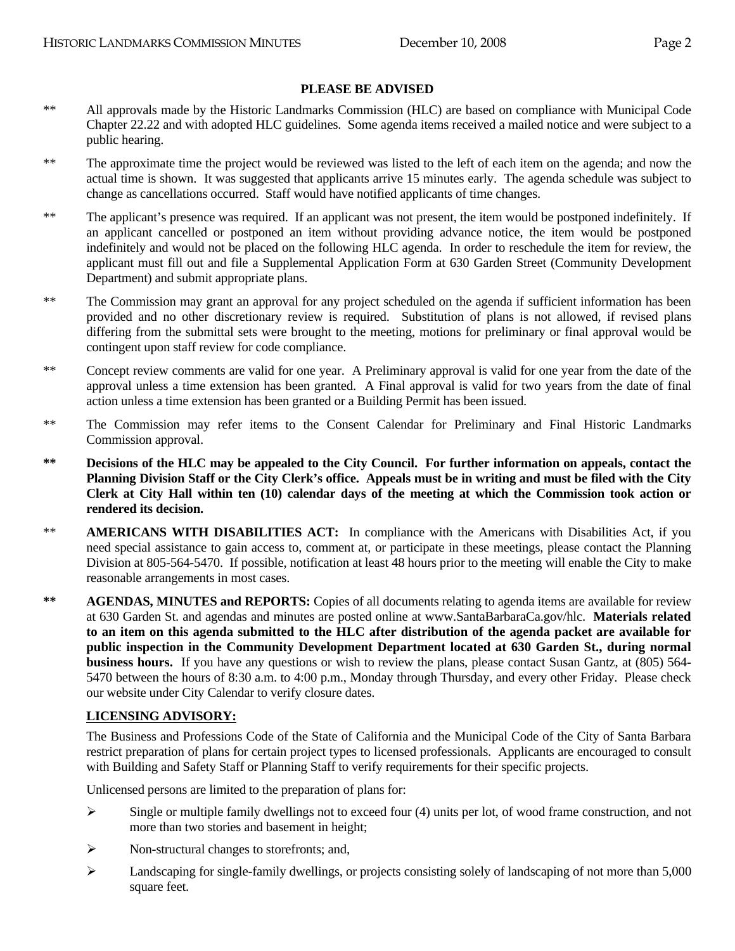#### **PLEASE BE ADVISED**

- \*\* All approvals made by the Historic Landmarks Commission (HLC) are based on compliance with Municipal Code Chapter 22.22 and with adopted HLC guidelines. Some agenda items received a mailed notice and were subject to a public hearing.
- \*\* The approximate time the project would be reviewed was listed to the left of each item on the agenda; and now the actual time is shown. It was suggested that applicants arrive 15 minutes early. The agenda schedule was subject to change as cancellations occurred. Staff would have notified applicants of time changes.
- \*\* The applicant's presence was required. If an applicant was not present, the item would be postponed indefinitely. If an applicant cancelled or postponed an item without providing advance notice, the item would be postponed indefinitely and would not be placed on the following HLC agenda. In order to reschedule the item for review, the applicant must fill out and file a Supplemental Application Form at 630 Garden Street (Community Development Department) and submit appropriate plans.
- \*\* The Commission may grant an approval for any project scheduled on the agenda if sufficient information has been provided and no other discretionary review is required. Substitution of plans is not allowed, if revised plans differing from the submittal sets were brought to the meeting, motions for preliminary or final approval would be contingent upon staff review for code compliance.
- \*\* Concept review comments are valid for one year. A Preliminary approval is valid for one year from the date of the approval unless a time extension has been granted. A Final approval is valid for two years from the date of final action unless a time extension has been granted or a Building Permit has been issued.
- \*\* The Commission may refer items to the Consent Calendar for Preliminary and Final Historic Landmarks Commission approval.
- **\*\* Decisions of the HLC may be appealed to the City Council. For further information on appeals, contact the Planning Division Staff or the City Clerk's office. Appeals must be in writing and must be filed with the City Clerk at City Hall within ten (10) calendar days of the meeting at which the Commission took action or rendered its decision.**
- \*\* **AMERICANS WITH DISABILITIES ACT:** In compliance with the Americans with Disabilities Act, if you need special assistance to gain access to, comment at, or participate in these meetings, please contact the Planning Division at 805-564-5470. If possible, notification at least 48 hours prior to the meeting will enable the City to make reasonable arrangements in most cases.
- **\*\* AGENDAS, MINUTES and REPORTS:** Copies of all documents relating to agenda items are available for review at 630 Garden St. and agendas and minutes are posted online at www.SantaBarbaraCa.gov/hlc. **Materials related to an item on this agenda submitted to the HLC after distribution of the agenda packet are available for public inspection in the Community Development Department located at 630 Garden St., during normal business hours.** If you have any questions or wish to review the plans, please contact Susan Gantz, at (805) 564- 5470 between the hours of 8:30 a.m. to 4:00 p.m., Monday through Thursday, and every other Friday. Please check our website under City Calendar to verify closure dates.

#### **LICENSING ADVISORY:**

The Business and Professions Code of the State of California and the Municipal Code of the City of Santa Barbara restrict preparation of plans for certain project types to licensed professionals. Applicants are encouraged to consult with Building and Safety Staff or Planning Staff to verify requirements for their specific projects.

Unlicensed persons are limited to the preparation of plans for:

- $\triangleright$  Single or multiple family dwellings not to exceed four (4) units per lot, of wood frame construction, and not more than two stories and basement in height;
- $\triangleright$  Non-structural changes to storefronts; and,
- ¾ Landscaping for single-family dwellings, or projects consisting solely of landscaping of not more than 5,000 square feet.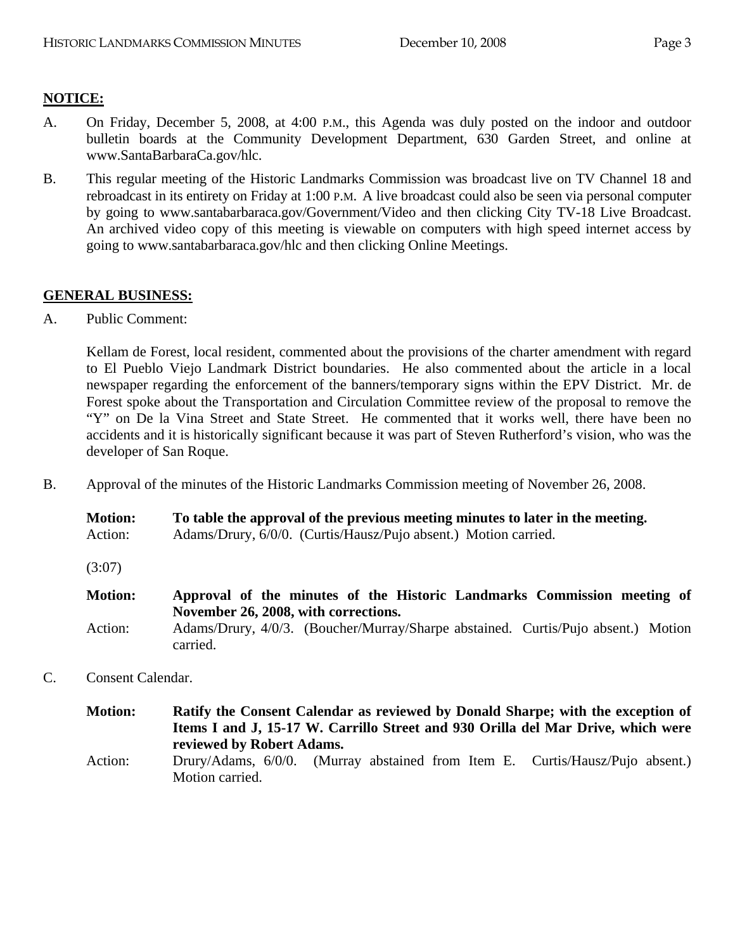# **NOTICE:**

- A. On Friday, December 5, 2008, at 4:00 P.M., this Agenda was duly posted on the indoor and outdoor bulletin boards at the Community Development Department, 630 Garden Street, and online at www.SantaBarbaraCa.gov/hlc.
- B. This regular meeting of the Historic Landmarks Commission was broadcast live on TV Channel 18 and rebroadcast in its entirety on Friday at 1:00 P.M. A live broadcast could also be seen via personal computer by going to www.santabarbaraca.gov/Government/Video and then clicking City TV-18 Live Broadcast. An archived video copy of this meeting is viewable on computers with high speed internet access by going to www.santabarbaraca.gov/hlc and then clicking Online Meetings.

## **GENERAL BUSINESS:**

A. Public Comment:

Kellam de Forest, local resident, commented about the provisions of the charter amendment with regard to El Pueblo Viejo Landmark District boundaries. He also commented about the article in a local newspaper regarding the enforcement of the banners/temporary signs within the EPV District. Mr. de Forest spoke about the Transportation and Circulation Committee review of the proposal to remove the "Y" on De la Vina Street and State Street. He commented that it works well, there have been no accidents and it is historically significant because it was part of Steven Rutherford's vision, who was the developer of San Roque.

B. Approval of the minutes of the Historic Landmarks Commission meeting of November 26, 2008.

| <b>Motion:</b> | To table the approval of the previous meeting minutes to later in the meeting. |
|----------------|--------------------------------------------------------------------------------|
| Action:        | Adams/Drury, 6/0/0. (Curtis/Hausz/Pujo absent.) Motion carried.                |

(3:07)

- **Motion: Approval of the minutes of the Historic Landmarks Commission meeting of November 26, 2008, with corrections.**  Action: Adams/Drury, 4/0/3. (Boucher/Murray/Sharpe abstained. Curtis/Pujo absent.) Motion carried.
- C. Consent Calendar.

| <b>Motion:</b> | reviewed by Robert Adams. | Ratify the Consent Calendar as reviewed by Donald Sharpe; with the exception of<br>Items I and J, 15-17 W. Carrillo Street and 930 Orilla del Mar Drive, which were |  |
|----------------|---------------------------|---------------------------------------------------------------------------------------------------------------------------------------------------------------------|--|
| Action:        | Motion carried.           | Drury/Adams, 6/0/0. (Murray abstained from Item E. Curtis/Hausz/Pujo absent.)                                                                                       |  |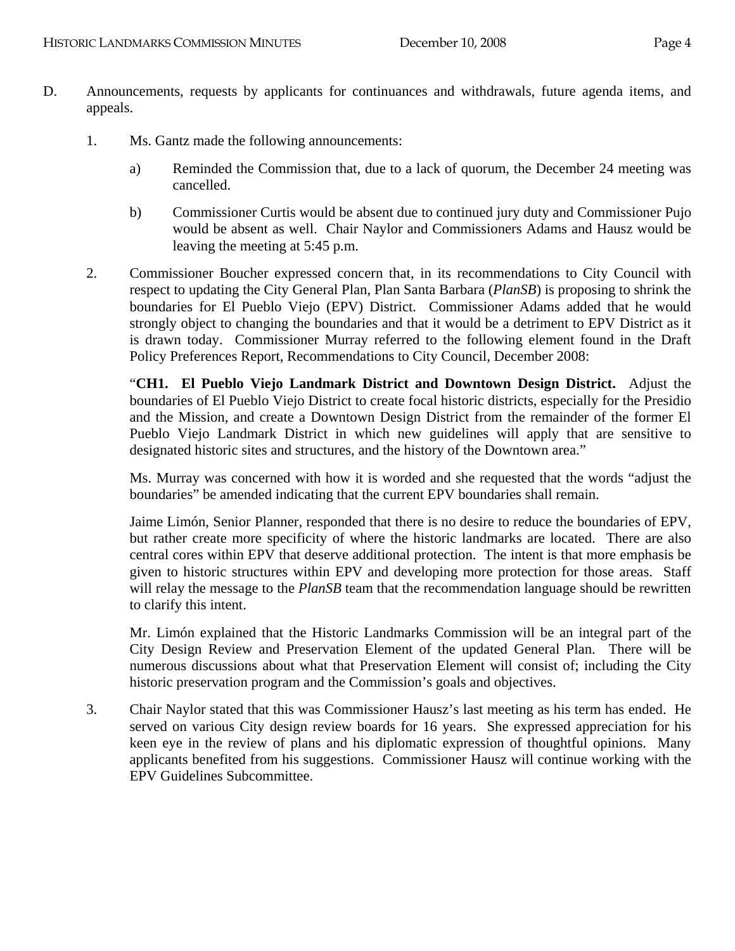- D. Announcements, requests by applicants for continuances and withdrawals, future agenda items, and appeals.
	- 1. Ms. Gantz made the following announcements:
		- a) Reminded the Commission that, due to a lack of quorum, the December 24 meeting was cancelled.
		- b) Commissioner Curtis would be absent due to continued jury duty and Commissioner Pujo would be absent as well. Chair Naylor and Commissioners Adams and Hausz would be leaving the meeting at 5:45 p.m.
	- 2. Commissioner Boucher expressed concern that, in its recommendations to City Council with respect to updating the City General Plan, Plan Santa Barbara (*PlanSB*) is proposing to shrink the boundaries for El Pueblo Viejo (EPV) District. Commissioner Adams added that he would strongly object to changing the boundaries and that it would be a detriment to EPV District as it is drawn today. Commissioner Murray referred to the following element found in the Draft Policy Preferences Report, Recommendations to City Council, December 2008:

"**CH1. El Pueblo Viejo Landmark District and Downtown Design District.** Adjust the boundaries of El Pueblo Viejo District to create focal historic districts, especially for the Presidio and the Mission, and create a Downtown Design District from the remainder of the former El Pueblo Viejo Landmark District in which new guidelines will apply that are sensitive to designated historic sites and structures, and the history of the Downtown area."

Ms. Murray was concerned with how it is worded and she requested that the words "adjust the boundaries" be amended indicating that the current EPV boundaries shall remain.

Jaime Limón, Senior Planner, responded that there is no desire to reduce the boundaries of EPV, but rather create more specificity of where the historic landmarks are located. There are also central cores within EPV that deserve additional protection. The intent is that more emphasis be given to historic structures within EPV and developing more protection for those areas. Staff will relay the message to the *PlanSB* team that the recommendation language should be rewritten to clarify this intent.

Mr. Limón explained that the Historic Landmarks Commission will be an integral part of the City Design Review and Preservation Element of the updated General Plan. There will be numerous discussions about what that Preservation Element will consist of; including the City historic preservation program and the Commission's goals and objectives.

3. Chair Naylor stated that this was Commissioner Hausz's last meeting as his term has ended. He served on various City design review boards for 16 years. She expressed appreciation for his keen eye in the review of plans and his diplomatic expression of thoughtful opinions. Many applicants benefited from his suggestions. Commissioner Hausz will continue working with the EPV Guidelines Subcommittee.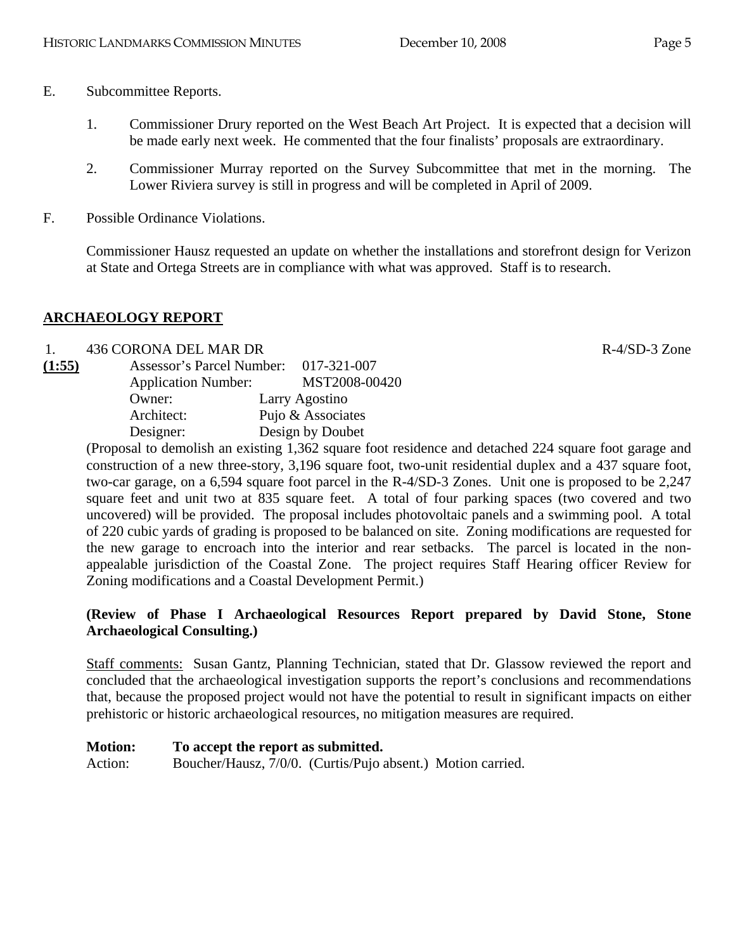- E. Subcommittee Reports.
	- 1. Commissioner Drury reported on the West Beach Art Project. It is expected that a decision will be made early next week. He commented that the four finalists' proposals are extraordinary.
	- 2. Commissioner Murray reported on the Survey Subcommittee that met in the morning. The Lower Riviera survey is still in progress and will be completed in April of 2009.
- F. Possible Ordinance Violations.

Commissioner Hausz requested an update on whether the installations and storefront design for Verizon at State and Ortega Streets are in compliance with what was approved. Staff is to research.

## **ARCHAEOLOGY REPORT**

#### 1. 436 CORONA DEL MAR DR R-4/SD-3 Zone

| (1:55) | Assessor's Parcel Number:  | 017-321-007       |
|--------|----------------------------|-------------------|
|        | <b>Application Number:</b> | MST2008-00420     |
|        | Owner:                     | Larry Agostino    |
|        | Architect:                 | Pujo & Associates |
|        | Designer:                  | Design by Doubet  |

(Proposal to demolish an existing 1,362 square foot residence and detached 224 square foot garage and construction of a new three-story, 3,196 square foot, two-unit residential duplex and a 437 square foot, two-car garage, on a 6,594 square foot parcel in the R-4/SD-3 Zones. Unit one is proposed to be 2,247 square feet and unit two at 835 square feet. A total of four parking spaces (two covered and two uncovered) will be provided. The proposal includes photovoltaic panels and a swimming pool. A total of 220 cubic yards of grading is proposed to be balanced on site. Zoning modifications are requested for the new garage to encroach into the interior and rear setbacks. The parcel is located in the nonappealable jurisdiction of the Coastal Zone. The project requires Staff Hearing officer Review for Zoning modifications and a Coastal Development Permit.)

## **(Review of Phase I Archaeological Resources Report prepared by David Stone, Stone Archaeological Consulting.)**

Staff comments: Susan Gantz, Planning Technician, stated that Dr. Glassow reviewed the report and concluded that the archaeological investigation supports the report's conclusions and recommendations that, because the proposed project would not have the potential to result in significant impacts on either prehistoric or historic archaeological resources, no mitigation measures are required.

#### **Motion: To accept the report as submitted.**

Action: Boucher/Hausz, 7/0/0. (Curtis/Pujo absent.) Motion carried.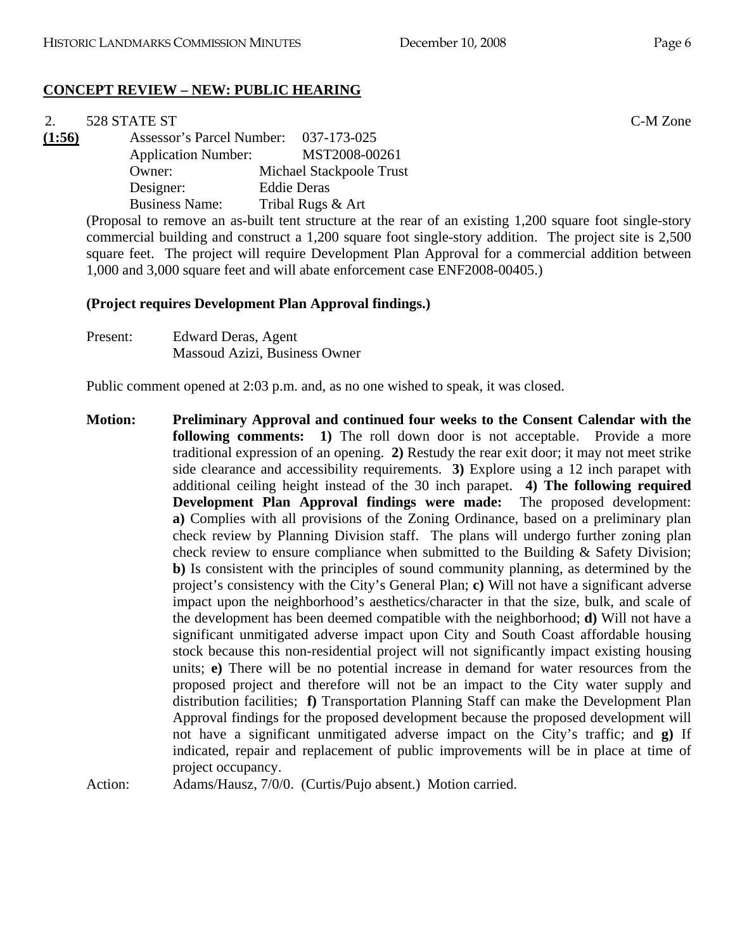## **CONCEPT REVIEW – NEW: PUBLIC HEARING**

#### 2. 528 STATE ST C-M Zone **(1:56)** Assessor's Parcel Number: 037-173-025 Application Number: MST2008-00261 Owner: Michael Stackpoole Trust Designer: Eddie Deras

Business Name: Tribal Rugs & Art

(Proposal to remove an as-built tent structure at the rear of an existing 1,200 square foot single-story commercial building and construct a 1,200 square foot single-story addition. The project site is 2,500 square feet. The project will require Development Plan Approval for a commercial addition between 1,000 and 3,000 square feet and will abate enforcement case ENF2008-00405.)

#### **(Project requires Development Plan Approval findings.)**

Present: Edward Deras, Agent Massoud Azizi, Business Owner

Public comment opened at 2:03 p.m. and, as no one wished to speak, it was closed.

**Motion: Preliminary Approval and continued four weeks to the Consent Calendar with the following comments: 1)** The roll down door is not acceptable. Provide a more traditional expression of an opening. **2)** Restudy the rear exit door; it may not meet strike side clearance and accessibility requirements. **3)** Explore using a 12 inch parapet with additional ceiling height instead of the 30 inch parapet. **4) The following required Development Plan Approval findings were made:** The proposed development: **a)** Complies with all provisions of the Zoning Ordinance, based on a preliminary plan check review by Planning Division staff. The plans will undergo further zoning plan check review to ensure compliance when submitted to the Building & Safety Division; **b)** Is consistent with the principles of sound community planning, as determined by the project's consistency with the City's General Plan; **c)** Will not have a significant adverse impact upon the neighborhood's aesthetics/character in that the size, bulk, and scale of the development has been deemed compatible with the neighborhood; **d)** Will not have a significant unmitigated adverse impact upon City and South Coast affordable housing stock because this non-residential project will not significantly impact existing housing units; **e)** There will be no potential increase in demand for water resources from the proposed project and therefore will not be an impact to the City water supply and distribution facilities; **f)** Transportation Planning Staff can make the Development Plan Approval findings for the proposed development because the proposed development will not have a significant unmitigated adverse impact on the City's traffic; and **g)** If indicated, repair and replacement of public improvements will be in place at time of project occupancy.

Action: Adams/Hausz, 7/0/0. (Curtis/Pujo absent.) Motion carried.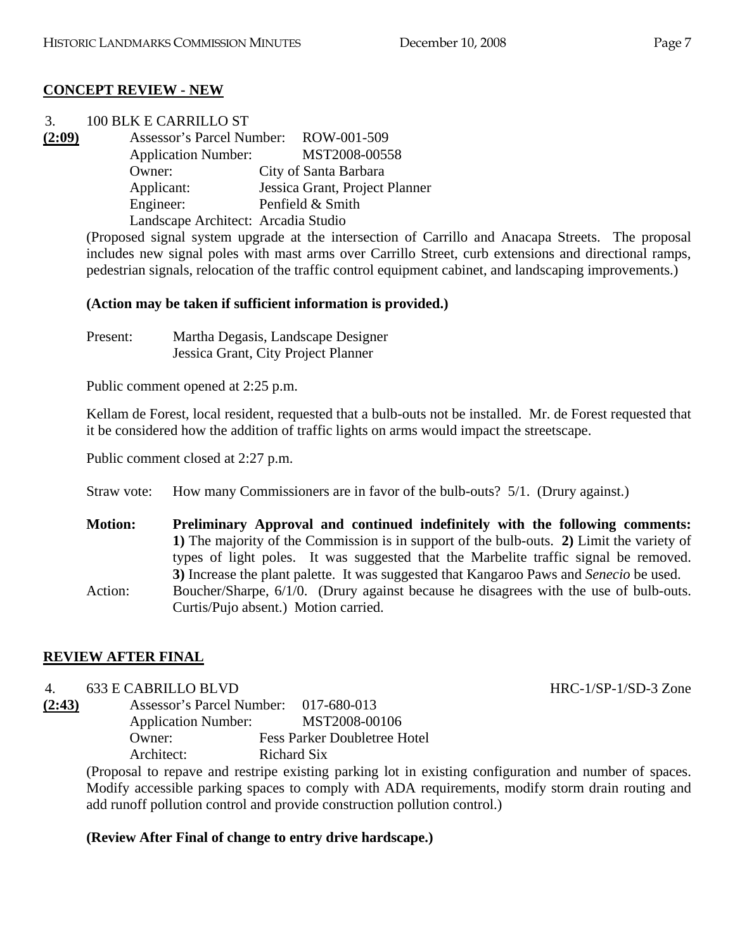## **CONCEPT REVIEW - NEW**

| 3.     | 100 BLK E CARRILLO ST                                                                                                                                                                                                                        |                                |
|--------|----------------------------------------------------------------------------------------------------------------------------------------------------------------------------------------------------------------------------------------------|--------------------------------|
| (2:09) | Assessor's Parcel Number: ROW-001-509                                                                                                                                                                                                        |                                |
|        | <b>Application Number:</b>                                                                                                                                                                                                                   | MST2008-00558                  |
|        | Owner:                                                                                                                                                                                                                                       | City of Santa Barbara          |
|        | Applicant:                                                                                                                                                                                                                                   | Jessica Grant, Project Planner |
|        | Engineer:                                                                                                                                                                                                                                    | Penfield & Smith               |
|        | Landscape Architect: Arcadia Studio                                                                                                                                                                                                          |                                |
|        | $\mathbf{r} = \mathbf{r} + \mathbf{r}$ , and the contract of the contract of the contract of the contract of the contract of the contract of the contract of the contract of the contract of the contract of the contract of the contract of |                                |

(Proposed signal system upgrade at the intersection of Carrillo and Anacapa Streets. The proposal includes new signal poles with mast arms over Carrillo Street, curb extensions and directional ramps, pedestrian signals, relocation of the traffic control equipment cabinet, and landscaping improvements.)

# **(Action may be taken if sufficient information is provided.)**

Present: Martha Degasis, Landscape Designer Jessica Grant, City Project Planner

Public comment opened at 2:25 p.m.

Kellam de Forest, local resident, requested that a bulb-outs not be installed. Mr. de Forest requested that it be considered how the addition of traffic lights on arms would impact the streetscape.

Public comment closed at 2:27 p.m.

Straw vote: How many Commissioners are in favor of the bulb-outs? 5/1. (Drury against.)

**Motion: Preliminary Approval and continued indefinitely with the following comments: 1)** The majority of the Commission is in support of the bulb-outs. **2)** Limit the variety of types of light poles. It was suggested that the Marbelite traffic signal be removed. **3)** Increase the plant palette. It was suggested that Kangaroo Paws and *Senecio* be used. Action: Boucher/Sharpe,  $6/1/0$ . (Drury against because he disagrees with the use of bulb-outs. Curtis/Pujo absent.) Motion carried.

# **REVIEW AFTER FINAL**

# 4. 633 E CABRILLO BLVD HRC-1/SP-1/SD-3 Zone

**(2:43)** Assessor's Parcel Number: 017-680-013 Application Number: MST2008-00106 Owner: Fess Parker Doubletree Hotel Architect: Richard Six

(Proposal to repave and restripe existing parking lot in existing configuration and number of spaces. Modify accessible parking spaces to comply with ADA requirements, modify storm drain routing and add runoff pollution control and provide construction pollution control.)

# **(Review After Final of change to entry drive hardscape.)**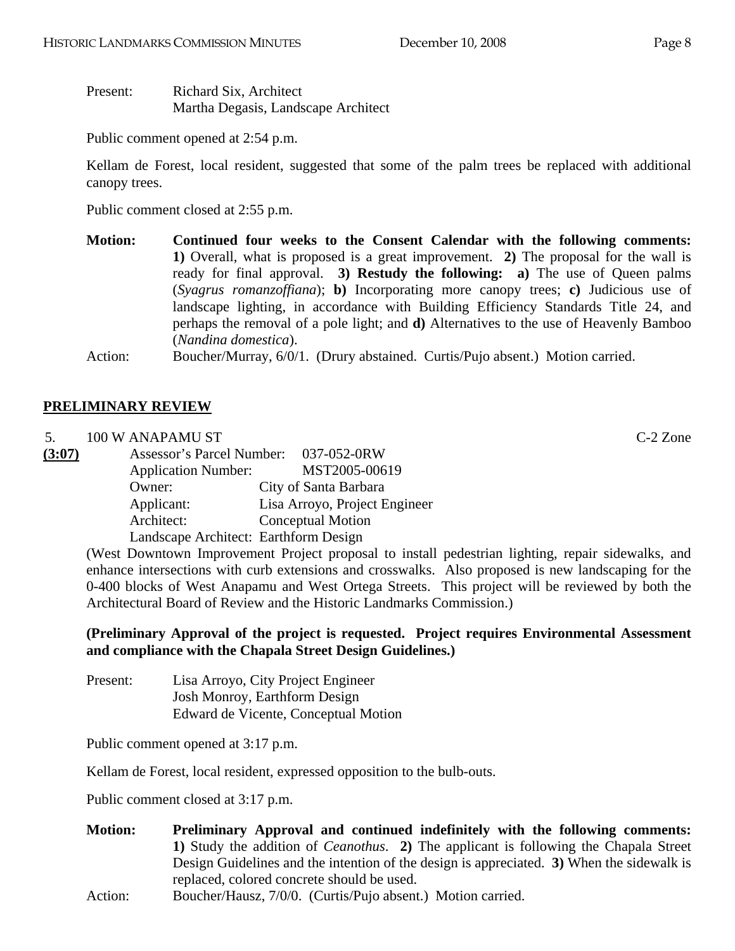Present: Richard Six, Architect Martha Degasis, Landscape Architect

Public comment opened at 2:54 p.m.

Kellam de Forest, local resident, suggested that some of the palm trees be replaced with additional canopy trees.

Public comment closed at 2:55 p.m.

**Motion: Continued four weeks to the Consent Calendar with the following comments: 1)** Overall, what is proposed is a great improvement. **2)** The proposal for the wall is ready for final approval. **3) Restudy the following: a)** The use of Queen palms (*Syagrus romanzoffiana*); **b)** Incorporating more canopy trees; **c)** Judicious use of landscape lighting, in accordance with Building Efficiency Standards Title 24, and perhaps the removal of a pole light; and **d)** Alternatives to the use of Heavenly Bamboo (*Nandina domestica*).

Action: Boucher/Murray, 6/0/1. (Drury abstained. Curtis/Pujo absent.) Motion carried.

## **PRELIMINARY REVIEW**

5. 100 W ANAPAMU ST C-2 Zone

| (3:07) | Assessor's Parcel Number: 037-052-0RW |  |                               |
|--------|---------------------------------------|--|-------------------------------|
|        | <b>Application Number:</b>            |  | MST2005-00619                 |
|        | Owner:                                |  | City of Santa Barbara         |
|        | Applicant:                            |  | Lisa Arroyo, Project Engineer |
|        | Architect:                            |  | Conceptual Motion             |
|        | Landscape Architect: Earthform Design |  |                               |

(West Downtown Improvement Project proposal to install pedestrian lighting, repair sidewalks, and enhance intersections with curb extensions and crosswalks. Also proposed is new landscaping for the 0-400 blocks of West Anapamu and West Ortega Streets. This project will be reviewed by both the Architectural Board of Review and the Historic Landmarks Commission.)

## **(Preliminary Approval of the project is requested. Project requires Environmental Assessment and compliance with the Chapala Street Design Guidelines.)**

| Present: | Lisa Arroyo, City Project Engineer   |
|----------|--------------------------------------|
|          | <b>Josh Monroy, Earthform Design</b> |
|          | Edward de Vicente, Conceptual Motion |

Public comment opened at 3:17 p.m.

Kellam de Forest, local resident, expressed opposition to the bulb-outs.

Public comment closed at 3:17 p.m.

- **Motion: Preliminary Approval and continued indefinitely with the following comments: 1)** Study the addition of *Ceanothus*. **2)** The applicant is following the Chapala Street Design Guidelines and the intention of the design is appreciated. **3)** When the sidewalk is replaced, colored concrete should be used.
- Action: Boucher/Hausz, 7/0/0. (Curtis/Pujo absent.) Motion carried.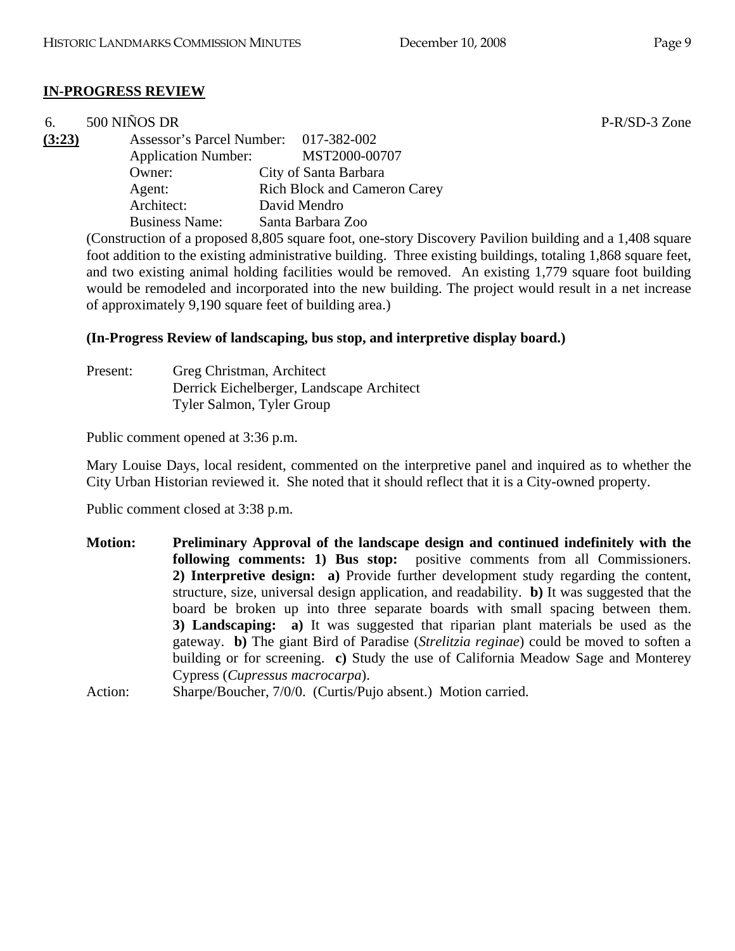# **IN-PROGRESS REVIEW**

| 6.     | 500 NIÑOS DR               |                                                                                                                                                                                                                                                                                | P-R/SD-3 Zone        |
|--------|----------------------------|--------------------------------------------------------------------------------------------------------------------------------------------------------------------------------------------------------------------------------------------------------------------------------|----------------------|
| (3:23) |                            | Assessor's Parcel Number: 017-382-002                                                                                                                                                                                                                                          |                      |
|        | <b>Application Number:</b> | MST2000-00707                                                                                                                                                                                                                                                                  |                      |
|        | Owner:                     | City of Santa Barbara                                                                                                                                                                                                                                                          |                      |
|        | Agent:                     | <b>Rich Block and Cameron Carey</b>                                                                                                                                                                                                                                            |                      |
|        | Architect:                 | David Mendro                                                                                                                                                                                                                                                                   |                      |
|        | <b>Business Name:</b>      | Santa Barbara Zoo                                                                                                                                                                                                                                                              |                      |
|        |                            | $\sim$ 0.0 $\sim$ 0.0 $\sim$ 0.0 $\sim$ 0.0 $\sim$ 0.0 $\sim$ 0.0 $\sim$ 0.0 $\sim$ 0.0 $\sim$ 0.0 $\sim$ 0.0 $\sim$ 0.0 $\sim$ 0.0 $\sim$ 0.0 $\sim$ 0.0 $\sim$ 0.0 $\sim$ 0.0 $\sim$ 0.0 $\sim$ 0.0 $\sim$ 0.0 $\sim$ 0.0 $\sim$ 0.0 $\sim$ 0.0 $\sim$ 0.0 $\sim$ 0.0 $\sim$ | $\sim$ $\sim$ $\sim$ |

(Construction of a proposed 8,805 square foot, one-story Discovery Pavilion building and a 1,408 square foot addition to the existing administrative building. Three existing buildings, totaling 1,868 square feet, and two existing animal holding facilities would be removed. An existing 1,779 square foot building would be remodeled and incorporated into the new building. The project would result in a net increase of approximately 9,190 square feet of building area.)

#### **(In-Progress Review of landscaping, bus stop, and interpretive display board.)**

| Present: | Greg Christman, Architect                 |
|----------|-------------------------------------------|
|          | Derrick Eichelberger, Landscape Architect |
|          | Tyler Salmon, Tyler Group                 |

Public comment opened at 3:36 p.m.

Mary Louise Days, local resident, commented on the interpretive panel and inquired as to whether the City Urban Historian reviewed it. She noted that it should reflect that it is a City-owned property.

Public comment closed at 3:38 p.m.

**Motion: Preliminary Approval of the landscape design and continued indefinitely with the following comments: 1) Bus stop:** positive comments from all Commissioners. **2) Interpretive design: a)** Provide further development study regarding the content, structure, size, universal design application, and readability. **b)** It was suggested that the board be broken up into three separate boards with small spacing between them. **3) Landscaping: a)** It was suggested that riparian plant materials be used as the gateway. **b)** The giant Bird of Paradise (*Strelitzia reginae*) could be moved to soften a building or for screening. **c)** Study the use of California Meadow Sage and Monterey Cypress (*Cupressus macrocarpa*).

Action: Sharpe/Boucher, 7/0/0. (Curtis/Pujo absent.) Motion carried.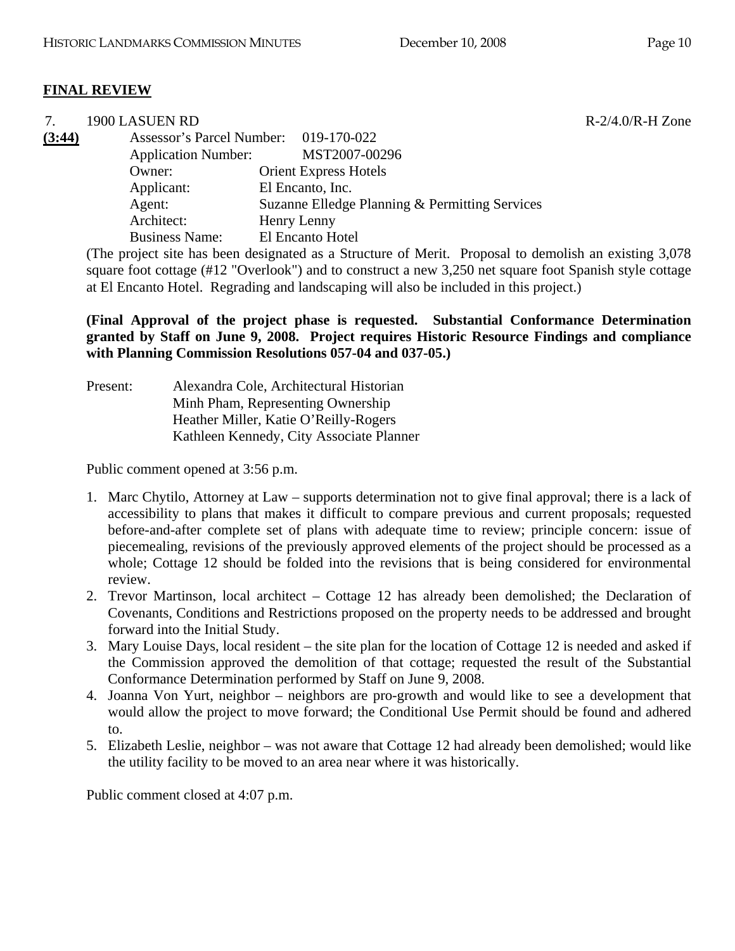## **FINAL REVIEW**

| 7.     | 1900 LASUEN RD                        |                                                |
|--------|---------------------------------------|------------------------------------------------|
| (3:44) | Assessor's Parcel Number: 019-170-022 |                                                |
|        | <b>Application Number:</b>            | MST2007-00296                                  |
|        | Owner:                                | <b>Orient Express Hotels</b>                   |
|        | Applicant:                            | El Encanto, Inc.                               |
|        | Agent:                                | Suzanne Elledge Planning & Permitting Services |
|        | Architect:                            | Henry Lenny                                    |
|        | <b>Business Name:</b>                 | El Encanto Hotel                               |
|        |                                       |                                                |

(The project site has been designated as a Structure of Merit. Proposal to demolish an existing 3,078 square foot cottage (#12 "Overlook") and to construct a new 3,250 net square foot Spanish style cottage at El Encanto Hotel. Regrading and landscaping will also be included in this project.)

**(Final Approval of the project phase is requested. Substantial Conformance Determination granted by Staff on June 9, 2008. Project requires Historic Resource Findings and compliance with Planning Commission Resolutions 057-04 and 037-05.)** 

Present: Alexandra Cole, Architectural Historian Minh Pham, Representing Ownership Heather Miller, Katie O'Reilly-Rogers Kathleen Kennedy, City Associate Planner

Public comment opened at 3:56 p.m.

- 1. Marc Chytilo, Attorney at Law supports determination not to give final approval; there is a lack of accessibility to plans that makes it difficult to compare previous and current proposals; requested before-and-after complete set of plans with adequate time to review; principle concern: issue of piecemealing, revisions of the previously approved elements of the project should be processed as a whole; Cottage 12 should be folded into the revisions that is being considered for environmental review.
- 2. Trevor Martinson, local architect Cottage 12 has already been demolished; the Declaration of Covenants, Conditions and Restrictions proposed on the property needs to be addressed and brought forward into the Initial Study.
- 3. Mary Louise Days, local resident the site plan for the location of Cottage 12 is needed and asked if the Commission approved the demolition of that cottage; requested the result of the Substantial Conformance Determination performed by Staff on June 9, 2008.
- 4. Joanna Von Yurt, neighbor neighbors are pro-growth and would like to see a development that would allow the project to move forward; the Conditional Use Permit should be found and adhered to.
- 5. Elizabeth Leslie, neighbor was not aware that Cottage 12 had already been demolished; would like the utility facility to be moved to an area near where it was historically.

Public comment closed at 4:07 p.m.

 $R - 2/4.0/R - H$  Zone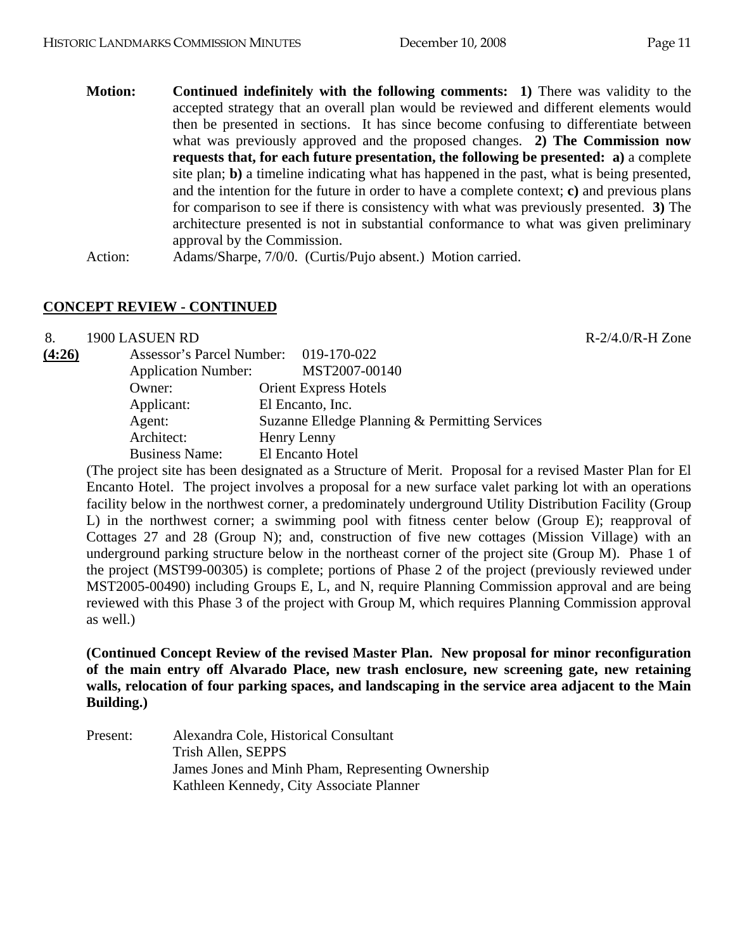- 
- **Motion: Continued indefinitely with the following comments: 1)** There was validity to the accepted strategy that an overall plan would be reviewed and different elements would then be presented in sections. It has since become confusing to differentiate between what was previously approved and the proposed changes. **2) The Commission now requests that, for each future presentation, the following be presented: a)** a complete site plan; **b)** a timeline indicating what has happened in the past, what is being presented, and the intention for the future in order to have a complete context; **c)** and previous plans for comparison to see if there is consistency with what was previously presented. **3)** The architecture presented is not in substantial conformance to what was given preliminary approval by the Commission.

Action: Adams/Sharpe, 7/0/0. (Curtis/Pujo absent.) Motion carried.

## **CONCEPT REVIEW - CONTINUED**

8. 1900 LASUEN RD R-2/4.0/R-H Zone

| (4:26) |                            | Assessor's Parcel Number: 019-170-022          |
|--------|----------------------------|------------------------------------------------|
|        | <b>Application Number:</b> | MST2007-00140                                  |
|        | Owner:                     | <b>Orient Express Hotels</b>                   |
|        | Applicant:                 | El Encanto, Inc.                               |
|        | Agent:                     | Suzanne Elledge Planning & Permitting Services |
|        | Architect:                 | Henry Lenny                                    |
|        | <b>Business Name:</b>      | El Encanto Hotel                               |

(The project site has been designated as a Structure of Merit. Proposal for a revised Master Plan for El Encanto Hotel. The project involves a proposal for a new surface valet parking lot with an operations facility below in the northwest corner, a predominately underground Utility Distribution Facility (Group L) in the northwest corner; a swimming pool with fitness center below (Group E); reapproval of Cottages 27 and 28 (Group N); and, construction of five new cottages (Mission Village) with an underground parking structure below in the northeast corner of the project site (Group M). Phase 1 of the project (MST99-00305) is complete; portions of Phase 2 of the project (previously reviewed under MST2005-00490) including Groups E, L, and N, require Planning Commission approval and are being reviewed with this Phase 3 of the project with Group M, which requires Planning Commission approval as well.)

**(Continued Concept Review of the revised Master Plan. New proposal for minor reconfiguration of the main entry off Alvarado Place, new trash enclosure, new screening gate, new retaining walls, relocation of four parking spaces, and landscaping in the service area adjacent to the Main Building.)** 

Present: Alexandra Cole, Historical Consultant Trish Allen, SEPPS James Jones and Minh Pham, Representing Ownership Kathleen Kennedy, City Associate Planner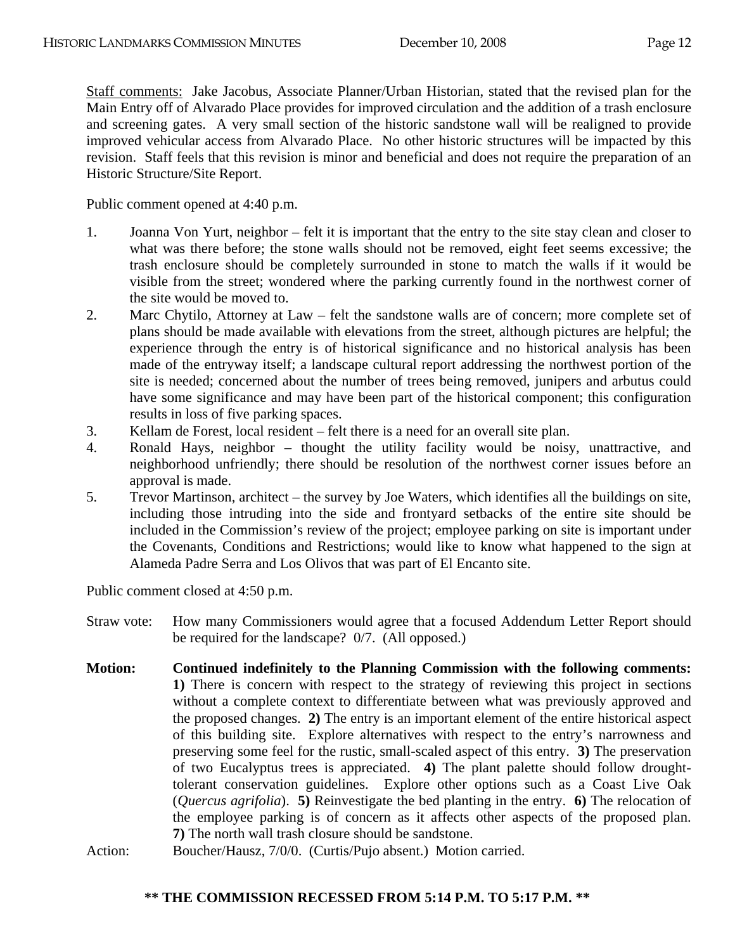Staff comments: Jake Jacobus, Associate Planner/Urban Historian, stated that the revised plan for the Main Entry off of Alvarado Place provides for improved circulation and the addition of a trash enclosure and screening gates. A very small section of the historic sandstone wall will be realigned to provide improved vehicular access from Alvarado Place. No other historic structures will be impacted by this revision. Staff feels that this revision is minor and beneficial and does not require the preparation of an Historic Structure/Site Report.

Public comment opened at 4:40 p.m.

- 1. Joanna Von Yurt, neighbor felt it is important that the entry to the site stay clean and closer to what was there before; the stone walls should not be removed, eight feet seems excessive; the trash enclosure should be completely surrounded in stone to match the walls if it would be visible from the street; wondered where the parking currently found in the northwest corner of the site would be moved to.
- 2. Marc Chytilo, Attorney at Law felt the sandstone walls are of concern; more complete set of plans should be made available with elevations from the street, although pictures are helpful; the experience through the entry is of historical significance and no historical analysis has been made of the entryway itself; a landscape cultural report addressing the northwest portion of the site is needed; concerned about the number of trees being removed, junipers and arbutus could have some significance and may have been part of the historical component; this configuration results in loss of five parking spaces.
- 3. Kellam de Forest, local resident felt there is a need for an overall site plan.
- 4. Ronald Hays, neighbor thought the utility facility would be noisy, unattractive, and neighborhood unfriendly; there should be resolution of the northwest corner issues before an approval is made.
- 5. Trevor Martinson, architect the survey by Joe Waters, which identifies all the buildings on site, including those intruding into the side and frontyard setbacks of the entire site should be included in the Commission's review of the project; employee parking on site is important under the Covenants, Conditions and Restrictions; would like to know what happened to the sign at Alameda Padre Serra and Los Olivos that was part of El Encanto site.

Public comment closed at 4:50 p.m.

- Straw vote: How many Commissioners would agree that a focused Addendum Letter Report should be required for the landscape? 0/7. (All opposed.)
- **Motion: Continued indefinitely to the Planning Commission with the following comments: 1)** There is concern with respect to the strategy of reviewing this project in sections without a complete context to differentiate between what was previously approved and the proposed changes. **2)** The entry is an important element of the entire historical aspect of this building site. Explore alternatives with respect to the entry's narrowness and preserving some feel for the rustic, small-scaled aspect of this entry. **3)** The preservation of two Eucalyptus trees is appreciated. **4)** The plant palette should follow droughttolerant conservation guidelines. Explore other options such as a Coast Live Oak (*Quercus agrifolia*). **5)** Reinvestigate the bed planting in the entry. **6)** The relocation of the employee parking is of concern as it affects other aspects of the proposed plan. **7)** The north wall trash closure should be sandstone.
- Action: Boucher/Hausz, 7/0/0. (Curtis/Pujo absent.) Motion carried.

## **\*\* THE COMMISSION RECESSED FROM 5:14 P.M. TO 5:17 P.M. \*\***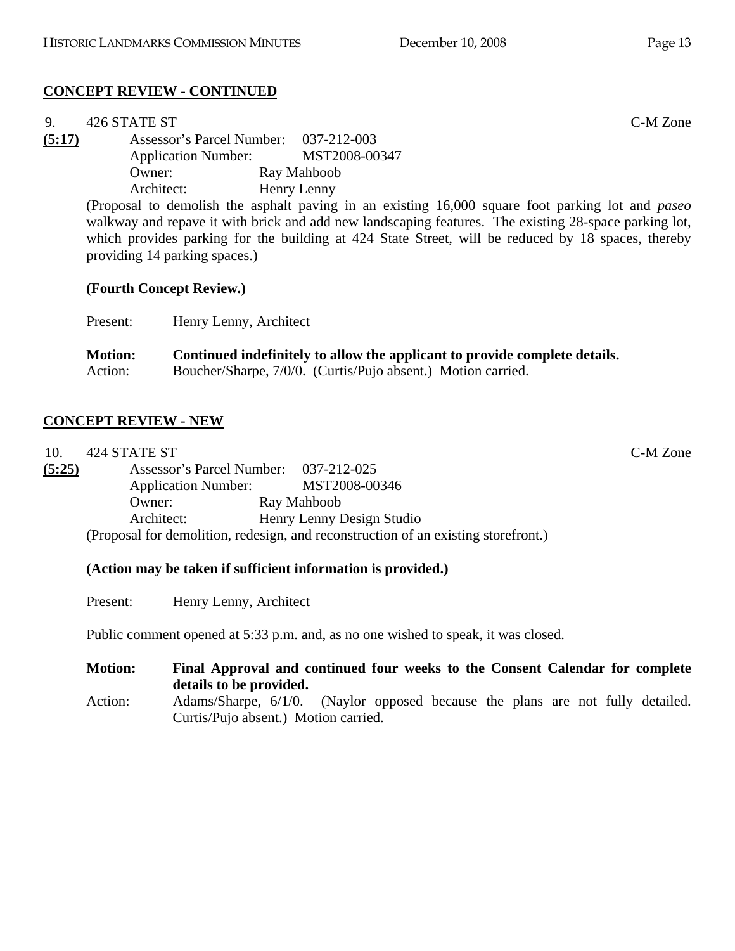## **CONCEPT REVIEW - CONTINUED**

| 9.     | 426 STATE ST                                                                                          | C-M Zone                                                                                                |  |
|--------|-------------------------------------------------------------------------------------------------------|---------------------------------------------------------------------------------------------------------|--|
| (5:17) | Assessor's Parcel Number: 037-212-003                                                                 |                                                                                                         |  |
|        | <b>Application Number:</b>                                                                            | MST2008-00347                                                                                           |  |
|        | Owner:                                                                                                | Ray Mahboob                                                                                             |  |
|        | Architect:                                                                                            | Henry Lenny                                                                                             |  |
|        |                                                                                                       | (Proposal to demolish the asphalt paving in an existing 16,000 square foot parking lot and <i>paseo</i> |  |
|        | walkway and repave it with brick and add new landscaping features. The existing 28-space parking lot, |                                                                                                         |  |
|        |                                                                                                       | which provides parking for the building at 424 State Street, will be reduced by 18 spaces, thereby      |  |
|        | providing 14 parking spaces.)                                                                         |                                                                                                         |  |

## **(Fourth Concept Review.)**

Present: Henry Lenny, Architect

| <b>Motion:</b> | Continued indefinitely to allow the applicant to provide complete details. |
|----------------|----------------------------------------------------------------------------|
| Action:        | Boucher/Sharpe, 7/0/0. (Curtis/Pujo absent.) Motion carried.               |

## **CONCEPT REVIEW - NEW**

| 10.    | 424 STATE ST                          |                                                                                    | C-M Zone |
|--------|---------------------------------------|------------------------------------------------------------------------------------|----------|
| (5:25) | Assessor's Parcel Number: 037-212-025 |                                                                                    |          |
|        | <b>Application Number:</b>            | MST2008-00346                                                                      |          |
|        | Owner:                                | Ray Mahboob                                                                        |          |
|        | Architect:                            | Henry Lenny Design Studio                                                          |          |
|        |                                       | (Proposal for demolition, redesign, and reconstruction of an existing storefront.) |          |

#### **(Action may be taken if sufficient information is provided.)**

Present: Henry Lenny, Architect

Public comment opened at 5:33 p.m. and, as no one wished to speak, it was closed.

**Motion: Final Approval and continued four weeks to the Consent Calendar for complete details to be provided.** 

Action: Adams/Sharpe, 6/1/0. (Naylor opposed because the plans are not fully detailed. Curtis/Pujo absent.) Motion carried.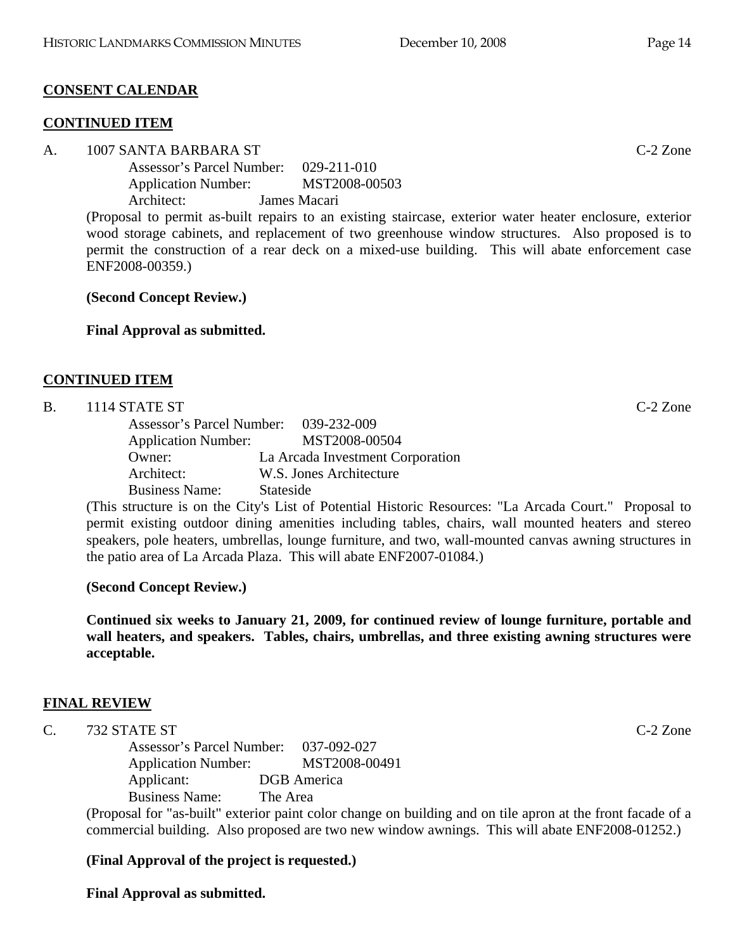# **CONSENT CALENDAR**

## **CONTINUED ITEM**

## A. 1007 SANTA BARBARA ST C-2 Zone

 Assessor's Parcel Number: 029-211-010 Application Number: MST2008-00503 Architect: James Macari

(Proposal to permit as-built repairs to an existing staircase, exterior water heater enclosure, exterior wood storage cabinets, and replacement of two greenhouse window structures. Also proposed is to permit the construction of a rear deck on a mixed-use building. This will abate enforcement case ENF2008-00359.)

**(Second Concept Review.)** 

**Final Approval as submitted.** 

# **CONTINUED ITEM**

## B. 1114 STATE ST C-2 Zone

| Assessor's Parcel Number: 039-232-009 |                                  |
|---------------------------------------|----------------------------------|
| <b>Application Number:</b>            | MST2008-00504                    |
| Owner:                                | La Arcada Investment Corporation |
| Architect:                            | W.S. Jones Architecture          |
| <b>Business Name:</b>                 | Stateside                        |

(This structure is on the City's List of Potential Historic Resources: "La Arcada Court." Proposal to permit existing outdoor dining amenities including tables, chairs, wall mounted heaters and stereo speakers, pole heaters, umbrellas, lounge furniture, and two, wall-mounted canvas awning structures in the patio area of La Arcada Plaza. This will abate ENF2007-01084.)

# **(Second Concept Review.)**

**Continued six weeks to January 21, 2009, for continued review of lounge furniture, portable and wall heaters, and speakers. Tables, chairs, umbrellas, and three existing awning structures were acceptable.** 

# **FINAL REVIEW**

C. 732 STATE ST C-2 Zone

 Assessor's Parcel Number: 037-092-027 Application Number: MST2008-00491 Applicant: DGB America Business Name: The Area

(Proposal for "as-built" exterior paint color change on building and on tile apron at the front facade of a commercial building. Also proposed are two new window awnings. This will abate ENF2008-01252.)

# **(Final Approval of the project is requested.)**

**Final Approval as submitted.**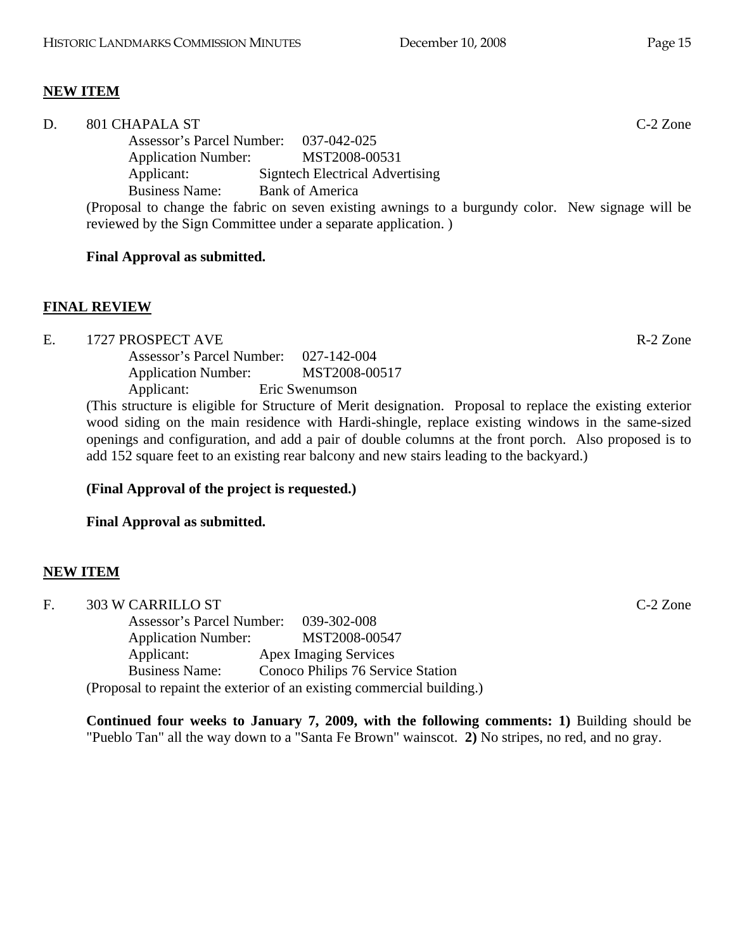## **NEW ITEM**

| D. | 801 CHAPALA ST                                                                                                                                                     |                                 | $C-2$ Zone |
|----|--------------------------------------------------------------------------------------------------------------------------------------------------------------------|---------------------------------|------------|
|    | Assessor's Parcel Number: 037-042-025                                                                                                                              |                                 |            |
|    | <b>Application Number:</b>                                                                                                                                         | MST2008-00531                   |            |
|    | Applicant:                                                                                                                                                         | Signtech Electrical Advertising |            |
|    | <b>Business Name:</b>                                                                                                                                              | <b>Bank of America</b>          |            |
|    | (Proposal to change the fabric on seven existing awnings to a burgundy color. New signage will be<br>reviewed by the Sign Committee under a separate application.) |                                 |            |
|    |                                                                                                                                                                    |                                 |            |

#### **Final Approval as submitted.**

#### **FINAL REVIEW**

E. 1727 PROSPECT AVE R-2 Zone

 Assessor's Parcel Number: 027-142-004 Application Number: MST2008-00517 Applicant: Eric Swenumson

(This structure is eligible for Structure of Merit designation. Proposal to replace the existing exterior wood siding on the main residence with Hardi-shingle, replace existing windows in the same-sized openings and configuration, and add a pair of double columns at the front porch. Also proposed is to add 152 square feet to an existing rear balcony and new stairs leading to the backyard.)

## **(Final Approval of the project is requested.)**

**Final Approval as submitted.** 

## **NEW ITEM**

| F. | 303 W CARRILLO ST                                                      | C-2 Zone |
|----|------------------------------------------------------------------------|----------|
|    | Assessor's Parcel Number: 039-302-008                                  |          |
|    | MST2008-00547<br><b>Application Number:</b>                            |          |
|    | <b>Apex Imaging Services</b><br>Applicant:                             |          |
|    | Conoco Philips 76 Service Station<br><b>Business Name:</b>             |          |
|    | (Proposal to repaint the exterior of an existing commercial building.) |          |

**Continued four weeks to January 7, 2009, with the following comments: 1)** Building should be "Pueblo Tan" all the way down to a "Santa Fe Brown" wainscot. **2)** No stripes, no red, and no gray.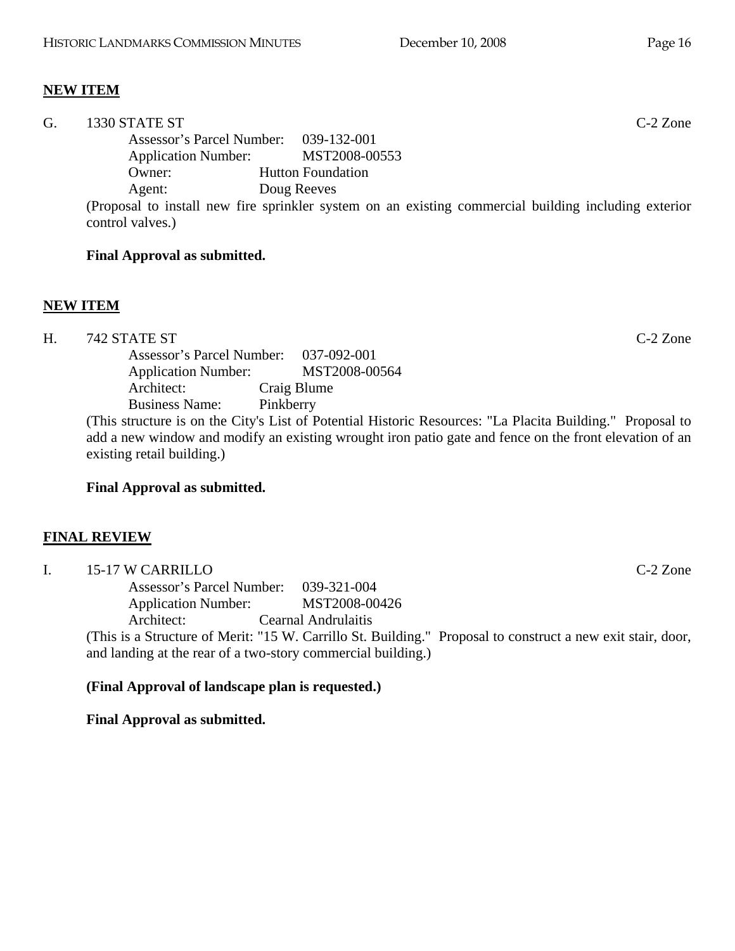## **NEW ITEM**

| G. | 1330 STATE ST                                                                                        |                          | $C-2$ Zone |
|----|------------------------------------------------------------------------------------------------------|--------------------------|------------|
|    | Assessor's Parcel Number: 039-132-001                                                                |                          |            |
|    | <b>Application Number:</b>                                                                           | MST2008-00553            |            |
|    | Owner:                                                                                               | <b>Hutton Foundation</b> |            |
|    | Agent:                                                                                               | Doug Reeves              |            |
|    | (Proposal to install new fire sprinkler system on an existing commercial building including exterior |                          |            |
|    | control valves.)                                                                                     |                          |            |

#### **Final Approval as submitted.**

#### **NEW ITEM**

H. 742 STATE ST C-2 Zone

 Assessor's Parcel Number: 037-092-001 Application Number: MST2008-00564 Architect: Craig Blume Business Name: Pinkberry

(This structure is on the City's List of Potential Historic Resources: "La Placita Building." Proposal to add a new window and modify an existing wrought iron patio gate and fence on the front elevation of an existing retail building.)

## **Final Approval as submitted.**

## **FINAL REVIEW**

I. 15-17 W CARRILLO C-2 Zone Assessor's Parcel Number: 039-321-004 Application Number: MST2008-00426 Architect: Cearnal Andrulaitis (This is a Structure of Merit: "15 W. Carrillo St. Building." Proposal to construct a new exit stair, door, and landing at the rear of a two-story commercial building.)

#### **(Final Approval of landscape plan is requested.)**

#### **Final Approval as submitted.**